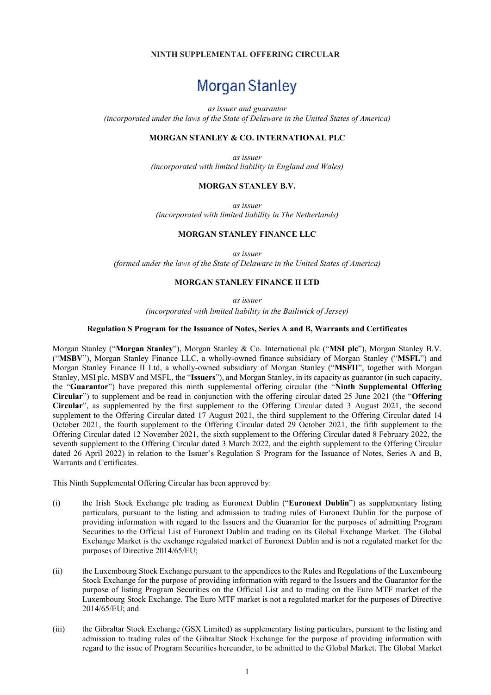# NINTH SUPPLEMENTAL OFFERING CIRCULAR

# Morgan Stanley

as issuer and guarantor

(incorporated under the laws of the State of Delaware in the United States of America)

#### MORGAN STANLEY & CO. INTERNATIONAL PLC

as issuer (incorporated with limited liability in England and Wales)

#### MORGAN STANLEY B.V.

as issuer (incorporated with limited liability in The Netherlands)

#### MORGAN STANLEY FINANCE LLC

as issuer

(formed under the laws of the State of Delaware in the United States of America)

#### MORGAN STANLEY FINANCE II LTD

as issuer

(incorporated with limited liability in the Bailiwick of Jersey)

#### Regulation S Program for the Issuance of Notes, Series A and B, Warrants and Certificates

Morgan Stanley ("Morgan Stanley"), Morgan Stanley & Co. International plc ("MSI plc"), Morgan Stanley B.V. ("MSBV"), Morgan Stanley Finance LLC, a wholly-owned finance subsidiary of Morgan Stanley ("MSFL") and Morgan Stanley Finance II Ltd, a wholly-owned subsidiary of Morgan Stanley ("MSFII", together with Morgan Stanley, MSI plc, MSBV and MSFL, the "Issuers"), and Morgan Stanley, in its capacity as guarantor (in such capacity, the "Guarantor") have prepared this ninth supplemental offering circular (the "Ninth Supplemental Offering Circular") to supplement and be read in conjunction with the offering circular dated 25 June 2021 (the "Offering Circular", as supplemented by the first supplement to the Offering Circular dated 3 August 2021, the second supplement to the Offering Circular dated 17 August 2021, the third supplement to the Offering Circular dated 14 October 2021, the fourth supplement to the Offering Circular dated 29 October 2021, the fifth supplement to the Offering Circular dated 12 November 2021, the sixth supplement to the Offering Circular dated 8 February 2022, the seventh supplement to the Offering Circular dated 3 March 2022, and the eighth supplement to the Offering Circular dated 26 April 2022) in relation to the Issuer's Regulation S Program for the Issuance of Notes, Series A and B, Warrants and Certificates.

This Ninth Supplemental Offering Circular has been approved by:

- (i) the Irish Stock Exchange plc trading as Euronext Dublin ("Euronext Dublin") as supplementary listing particulars, pursuant to the listing and admission to trading rules of Euronext Dublin for the purpose of providing information with regard to the Issuers and the Guarantor for the purposes of admitting Program Securities to the Official List of Euronext Dublin and trading on its Global Exchange Market. The Global Exchange Market is the exchange regulated market of Euronext Dublin and is not a regulated market for the purposes of Directive 2014/65/EU;
- (ii) the Luxembourg Stock Exchange pursuant to the appendices to the Rules and Regulations of the Luxembourg Stock Exchange for the purpose of providing information with regard to the Issuers and the Guarantor for the purpose of listing Program Securities on the Official List and to trading on the Euro MTF market of the Luxembourg Stock Exchange. The Euro MTF market is not a regulated market for the purposes of Directive 2014/65/EU; and
- (iii) the Gibraltar Stock Exchange (GSX Limited) as supplementary listing particulars, pursuant to the listing and admission to trading rules of the Gibraltar Stock Exchange for the purpose of providing information with regard to the issue of Program Securities hereunder, to be admitted to the Global Market. The Global Market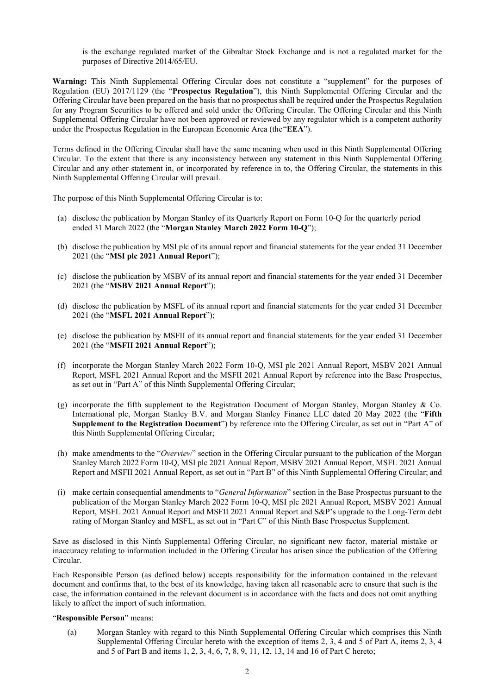is the exchange regulated market of the Gibraltar Stock Exchange and is not a regulated market for the purposes of Directive 2014/65/EU.

Warning: This Ninth Supplemental Offering Circular does not constitute a "supplement" for the purposes of Regulation (EU) 2017/1129 (the "Prospectus Regulation"), this Ninth Supplemental Offering Circular and the Offering Circular have been prepared on the basis that no prospectus shall be required under the Prospectus Regulation for any Program Securities to be offered and sold under the Offering Circular. The Offering Circular and this Ninth Supplemental Offering Circular have not been approved or reviewed by any regulator which is a competent authority under the Prospectus Regulation in the European Economic Area (the "EEA").

Terms defined in the Offering Circular shall have the same meaning when used in this Ninth Supplemental Offering Circular. To the extent that there is any inconsistency between any statement in this Ninth Supplemental Offering Circular and any other statement in, or incorporated by reference in to, the Offering Circular, the statements in this Ninth Supplemental Offering Circular will prevail.

The purpose of this Ninth Supplemental Offering Circular is to:

- (a) disclose the publication by Morgan Stanley of its Quarterly Report on Form 10-Q for the quarterly period ended 31 March 2022 (the "Morgan Stanley March 2022 Form 10-Q");
- (b) disclose the publication by MSI plc of its annual report and financial statements for the year ended 31 December 2021 (the "MSI plc 2021 Annual Report");
- (c) disclose the publication by MSBV of its annual report and financial statements for the year ended 31 December 2021 (the "MSBV 2021 Annual Report");
- (d) disclose the publication by MSFL of its annual report and financial statements for the year ended 31 December 2021 (the "MSFL 2021 Annual Report");
- (e) disclose the publication by MSFII of its annual report and financial statements for the year ended 31 December 2021 (the "MSFII 2021 Annual Report");
- (f) incorporate the Morgan Stanley March 2022 Form 10-Q, MSI plc 2021 Annual Report, MSBV 2021 Annual Report, MSFL 2021 Annual Report and the MSFII 2021 Annual Report by reference into the Base Prospectus, as set out in "Part A" of this Ninth Supplemental Offering Circular;
- (g) incorporate the fifth supplement to the Registration Document of Morgan Stanley, Morgan Stanley & Co. International plc, Morgan Stanley B.V. and Morgan Stanley Finance LLC dated 20 May 2022 (the "Fifth Supplement to the Registration Document") by reference into the Offering Circular, as set out in "Part A" of this Ninth Supplemental Offering Circular;
- (h) make amendments to the "Overview" section in the Offering Circular pursuant to the publication of the Morgan Stanley March 2022 Form 10-Q, MSI plc 2021 Annual Report, MSBV 2021 Annual Report, MSFL 2021 Annual Report and MSFII 2021 Annual Report, as set out in "Part B" of this Ninth Supplemental Offering Circular; and
- (i) make certain consequential amendments to "General Information" section in the Base Prospectus pursuant to the publication of the Morgan Stanley March 2022 Form 10-Q, MSI plc 2021 Annual Report, MSBV 2021 Annual Report, MSFL 2021 Annual Report and MSFII 2021 Annual Report and S&P's upgrade to the Long-Term debt rating of Morgan Stanley and MSFL, as set out in "Part C" of this Ninth Base Prospectus Supplement.

Save as disclosed in this Ninth Supplemental Offering Circular, no significant new factor, material mistake or inaccuracy relating to information included in the Offering Circular has arisen since the publication of the Offering Circular.

Each Responsible Person (as defined below) accepts responsibility for the information contained in the relevant document and confirms that, to the best of its knowledge, having taken all reasonable acre to ensure that such is the case, the information contained in the relevant document is in accordance with the facts and does not omit anything likely to affect the import of such information.

#### "Responsible Person" means:

(a) Morgan Stanley with regard to this Ninth Supplemental Offering Circular which comprises this Ninth Supplemental Offering Circular hereto with the exception of items 2, 3, 4 and 5 of Part A, items 2, 3, 4 and 5 of Part B and items 1, 2, 3, 4, 6, 7, 8, 9, 11, 12, 13, 14 and 16 of Part C hereto;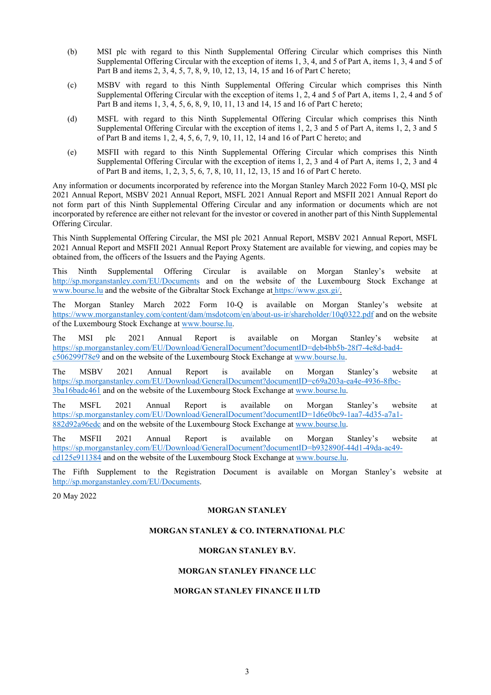- (b) MSI plc with regard to this Ninth Supplemental Offering Circular which comprises this Ninth Supplemental Offering Circular with the exception of items 1, 3, 4, and 5 of Part A, items 1, 3, 4 and 5 of Part B and items 2, 3, 4, 5, 7, 8, 9, 10, 12, 13, 14, 15 and 16 of Part C hereto;
- (c) MSBV with regard to this Ninth Supplemental Offering Circular which comprises this Ninth Supplemental Offering Circular with the exception of items 1, 2, 4 and 5 of Part A, items 1, 2, 4 and 5 of Part B and items 1, 3, 4, 5, 6, 8, 9, 10, 11, 13 and 14, 15 and 16 of Part C hereto;
- (d) MSFL with regard to this Ninth Supplemental Offering Circular which comprises this Ninth Supplemental Offering Circular with the exception of items 1, 2, 3 and 5 of Part A, items 1, 2, 3 and 5 of Part B and items 1, 2, 4, 5, 6, 7, 9, 10, 11, 12, 14 and 16 of Part C hereto; and
- (e) MSFII with regard to this Ninth Supplemental Offering Circular which comprises this Ninth Supplemental Offering Circular with the exception of items 1, 2, 3 and 4 of Part A, items 1, 2, 3 and 4 of Part B and items, 1, 2, 3, 5, 6, 7, 8, 10, 11, 12, 13, 15 and 16 of Part C hereto.

Any information or documents incorporated by reference into the Morgan Stanley March 2022 Form 10-Q, MSI plc 2021 Annual Report, MSBV 2021 Annual Report, MSFL 2021 Annual Report and MSFII 2021 Annual Report do not form part of this Ninth Supplemental Offering Circular and any information or documents which are not incorporated by reference are either not relevant for the investor or covered in another part of this Ninth Supplemental Offering Circular.

This Ninth Supplemental Offering Circular, the MSI plc 2021 Annual Report, MSBV 2021 Annual Report, MSFL 2021 Annual Report and MSFII 2021 Annual Report Proxy Statement are available for viewing, and copies may be obtained from, the officers of the Issuers and the Paying Agents.

This Ninth Supplemental Offering Circular is available on Morgan Stanley's website at http://sp.morganstanley.com/EU/Documents and on the website of the Luxembourg Stock Exchange at www.bourse.lu and the website of the Gibraltar Stock Exchange at https://www.gsx.gi/.

The Morgan Stanley March 2022 Form 10-Q is available on Morgan Stanley's website at https://www.morganstanley.com/content/dam/msdotcom/en/about-us-ir/shareholder/10q0322.pdf and on the website of the Luxembourg Stock Exchange at www.bourse.lu.

The MSI plc 2021 Annual Report is available on Morgan Stanley's website at https://sp.morganstanley.com/EU/Download/GeneralDocument?documentID=deb4bb5b-28f7-4e8d-bad4 c506299f78e9 and on the website of the Luxembourg Stock Exchange at www.bourse.lu.

The MSBV 2021 Annual Report is available on Morgan Stanley's website at https://sp.morganstanley.com/EU/Download/GeneralDocument?documentID=c69a203a-ea4e-4936-8fbc-3ba16badc461 and on the website of the Luxembourg Stock Exchange at www.bourse.lu.

The MSFL 2021 Annual Report is available on Morgan Stanley's website at https://sp.morganstanley.com/EU/Download/GeneralDocument?documentID=1d6e0bc9-1aa7-4d35-a7a1- 882d92a96edc and on the website of the Luxembourg Stock Exchange at www.bourse.lu.

The MSFII 2021 Annual Report is available on Morgan Stanley's website at https://sp.morganstanley.com/EU/Download/GeneralDocument?documentID=b932890f-44d1-49da-ac49 cd125e911384 and on the website of the Luxembourg Stock Exchange at www.bourse.lu.

The Fifth Supplement to the Registration Document is available on Morgan Stanley's website at http://sp.morganstanley.com/EU/Documents.

20 May 2022

# MORGAN STANLEY

# MORGAN STANLEY & CO. INTERNATIONAL PLC

# MORGAN STANLEY B.V.

# MORGAN STANLEY FINANCE LLC

# MORGAN STANLEY FINANCE II LTD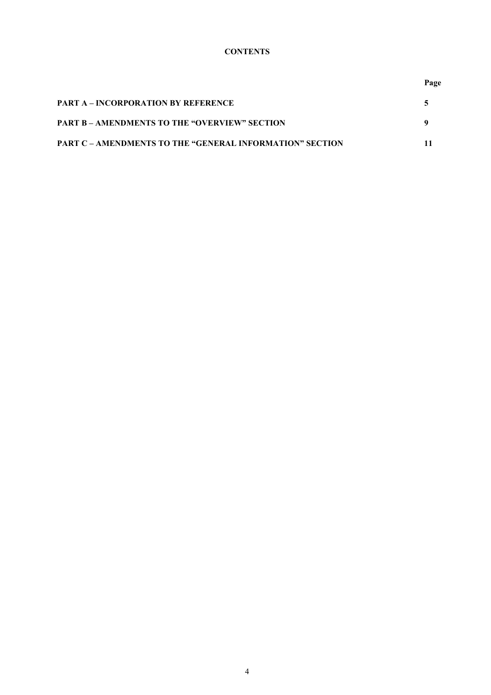# **CONTENTS**

**Page** 

| <b>PART A – INCORPORATION BY REFERENCE</b>                      |  |
|-----------------------------------------------------------------|--|
| <b>PART B – AMENDMENTS TO THE "OVERVIEW" SECTION</b>            |  |
| <b>PART C – AMENDMENTS TO THE "GENERAL INFORMATION" SECTION</b> |  |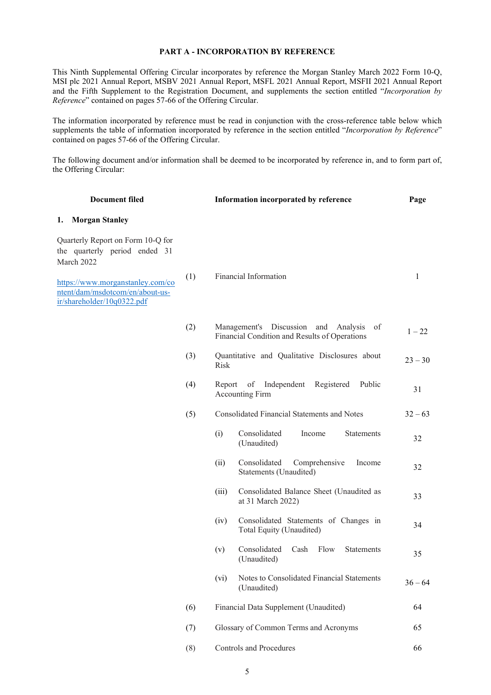# PART A - INCORPORATION BY REFERENCE

This Ninth Supplemental Offering Circular incorporates by reference the Morgan Stanley March 2022 Form 10-Q, MSI plc 2021 Annual Report, MSBV 2021 Annual Report, MSFL 2021 Annual Report, MSFII 2021 Annual Report and the Fifth Supplement to the Registration Document, and supplements the section entitled "Incorporation by Reference" contained on pages 57-66 of the Offering Circular.

The information incorporated by reference must be read in conjunction with the cross-reference table below which supplements the table of information incorporated by reference in the section entitled "Incorporation by Reference" contained on pages 57-66 of the Offering Circular.

The following document and/or information shall be deemed to be incorporated by reference in, and to form part of, the Offering Circular:

| <b>Document filed</b>                                                                             |     |             | Information incorporated by reference                                                       | Page      |
|---------------------------------------------------------------------------------------------------|-----|-------------|---------------------------------------------------------------------------------------------|-----------|
| <b>Morgan Stanley</b><br>1.                                                                       |     |             |                                                                                             |           |
| Quarterly Report on Form 10-Q for<br>the quarterly period ended 31<br>March 2022                  |     |             |                                                                                             |           |
| https://www.morganstanley.com/co<br>ntent/dam/msdotcom/en/about-us-<br>ir/shareholder/10q0322.pdf | (1) |             | Financial Information                                                                       | 1         |
|                                                                                                   | (2) |             | Management's Discussion and Analysis<br>of<br>Financial Condition and Results of Operations | $1 - 22$  |
|                                                                                                   | (3) | <b>Risk</b> | Quantitative and Qualitative Disclosures about                                              | $23 - 30$ |
|                                                                                                   | (4) | Report      | of<br>Independent<br>Registered<br>Public<br><b>Accounting Firm</b>                         | 31        |
|                                                                                                   | (5) |             | <b>Consolidated Financial Statements and Notes</b>                                          | $32 - 63$ |
|                                                                                                   |     | (i)         | Consolidated<br>Income<br>Statements<br>(Unaudited)                                         | 32        |
|                                                                                                   |     | (ii)        | Consolidated<br>Comprehensive<br>Income<br>Statements (Unaudited)                           | 32        |
|                                                                                                   |     | (iii)       | Consolidated Balance Sheet (Unaudited as<br>at 31 March 2022)                               | 33        |
|                                                                                                   |     | (iv)        | Consolidated Statements of Changes in<br>Total Equity (Unaudited)                           | 34        |
|                                                                                                   |     | (v)         | Consolidated<br>Cash<br>Flow<br><b>Statements</b><br>(Unaudited)                            | 35        |
|                                                                                                   |     | (vi)        | Notes to Consolidated Financial Statements<br>(Unaudited)                                   | $36 - 64$ |
|                                                                                                   | (6) |             | Financial Data Supplement (Unaudited)                                                       | 64        |
|                                                                                                   | (7) |             | Glossary of Common Terms and Acronyms                                                       | 65        |
|                                                                                                   | (8) |             | <b>Controls and Procedures</b>                                                              | 66        |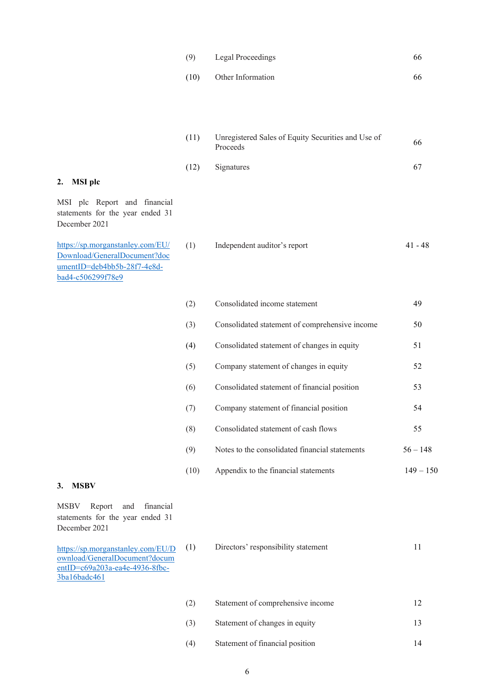| (9)  | Legal Proceedings | 66 |
|------|-------------------|----|
| (10) | Other Information | 66 |

(11) Unregistered Sales of Equity Securities and Use of Proceeds <sup>66</sup>

(12) Signatures 67

# 2. MSI plc

MSI plc Report and financial statements for the year ended 31 December 2021

https://sp.morganstanley.com/EU/ Download/GeneralDocument?doc umentID=deb4bb5b-28f7-4e8dbad4-c506299f78e9

| (1) | Independent auditor's report | 41 - 48 |
|-----|------------------------------|---------|
|     |                              |         |

| (2)  | Consolidated income statement                  | 49          |
|------|------------------------------------------------|-------------|
| (3)  | Consolidated statement of comprehensive income | 50          |
| (4)  | Consolidated statement of changes in equity    | 51          |
| (5)  | Company statement of changes in equity         | 52          |
| (6)  | Consolidated statement of financial position   | 53          |
| (7)  | Company statement of financial position        | 54          |
| (8)  | Consolidated statement of cash flows           | 55          |
| (9)  | Notes to the consolidated financial statements | $56 - 148$  |
| (10) | Appendix to the financial statements           | $149 - 150$ |

# 3. MSBV

MSBV Report and financial statements for the year ended 31 December 2021

https://sp.morganstanley.com/EU/D ownload/GeneralDocument?docum entID=c69a203a-ea4e-4936-8fbc-3ba16badc461

(1) Directors' responsibility statement 11

| (2) | Statement of comprehensive income |  |
|-----|-----------------------------------|--|
| (3) | Statement of changes in equity    |  |
| (4) | Statement of financial position   |  |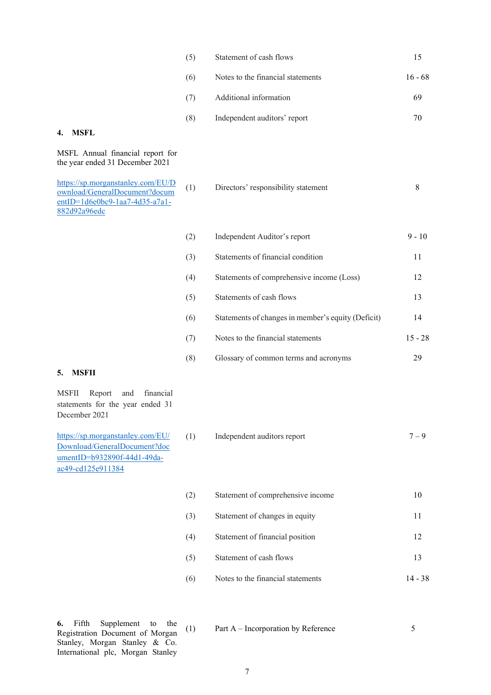| (5) | Statement of cash flows           |           |
|-----|-----------------------------------|-----------|
| (6) | Notes to the financial statements | $16 - 68$ |
| (7) | Additional information            | 69        |
| (8) | Independent auditors' report      |           |

# 4. MSFL

MSFL Annual financial report for the year ended 31 December 2021

https://sp.morganstanley.com/EU/D ownload/GeneralDocument?docum entID=1d6e0bc9-1aa7-4d35-a7a1- 882d92a96edc

(1) Directors' responsibility statement 8

(2) Independent Auditor's report 9 - 10 (3) Statements of financial condition 11 (4) Statements of comprehensive income (Loss) 12 (5) Statements of cash flows 13 (6) Statements of changes in member's equity (Deficit) 14 (7) Notes to the financial statements 15 - 28 (8) Glossary of common terms and acronyms 29

#### 5. MSFII

MSFII Report and financial statements for the year ended 31 December 2021

https://sp.morganstanley.com/EU/ Download/GeneralDocument?doc umentID=b932890f-44d1-49daac49-cd125e911384

(1) Independent auditors report 7 – 9

(2) Statement of comprehensive income 10 (3) Statement of changes in equity 11 (4) Statement of financial position 12 (5) Statement of cash flows 13 (6) Notes to the financial statements 14 - 38

6. Fifth Supplement to the Registration Document of Morgan Stanley, Morgan Stanley & Co. International plc, Morgan Stanley

(1) Part A – Incorporation by Reference 5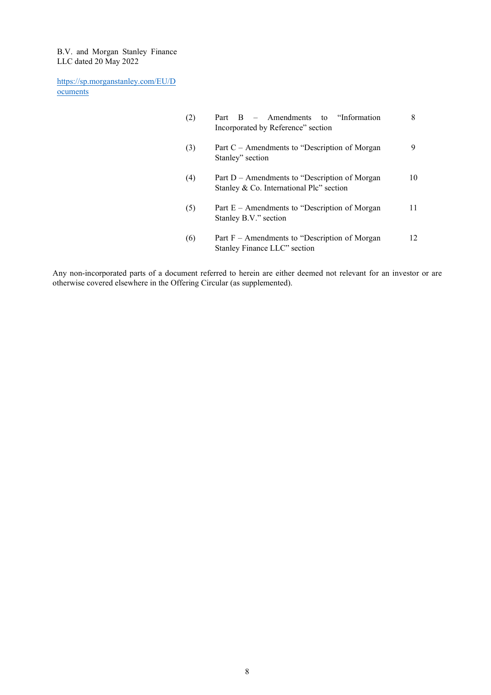B.V. and Morgan Stanley Finance LLC dated 20 May 2022

https://sp.morganstanley.com/EU/D ocuments

| (2) | Part $B -$ Amendments to "Information"<br>Incorporated by Reference" section               |    |
|-----|--------------------------------------------------------------------------------------------|----|
| (3) | Part $C -$ Amendments to "Description of Morgan"<br>Stanley" section                       | 9  |
| (4) | Part D – Amendments to "Description of Morgan"<br>Stanley & Co. International Plc" section | 10 |
| (5) | Part $E -$ Amendments to "Description of Morgan"<br>Stanley B.V." section                  | 11 |
| (6) | Part $F -$ Amendments to "Description of Morgan"<br>Stanley Finance LLC" section           | 12 |

Any non-incorporated parts of a document referred to herein are either deemed not relevant for an investor or are otherwise covered elsewhere in the Offering Circular (as supplemented).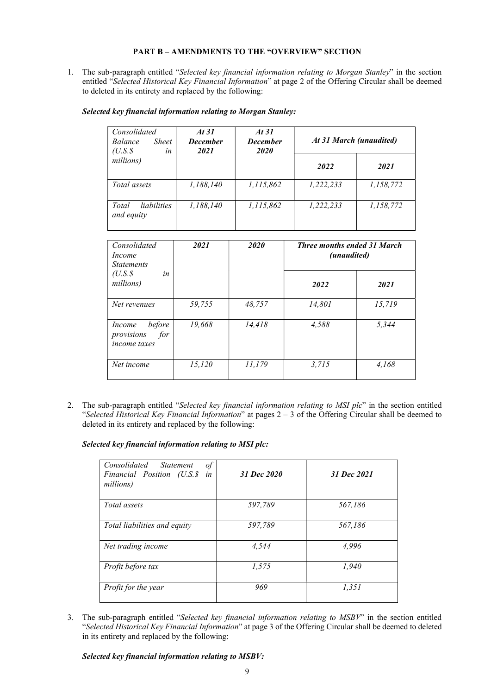# PART B – AMENDMENTS TO THE "OVERVIEW" SECTION

1. The sub-paragraph entitled "Selected key financial information relating to Morgan Stanley" in the section entitled "Selected Historical Key Financial Information" at page 2 of the Offering Circular shall be deemed to deleted in its entirety and replaced by the following:

| Consolidated<br><b>Sheet</b><br><i>Balance</i><br>$(U.S.\$<br>in | At 31<br><b>December</b><br>2021 | At 31<br><b>December</b><br>2020 | At 31 March (unaudited) |           |
|------------------------------------------------------------------|----------------------------------|----------------------------------|-------------------------|-----------|
| millions)                                                        |                                  |                                  | 2022                    | 2021      |
| <i>Total assets</i>                                              | 1,188,140                        | 1,115,862                        | 1,222,233               | 1,158,772 |
| <i>liabilities</i><br>Total<br>and equity                        | 1,188,140                        | 1,115,862                        | 1,222,233               | 1,158,772 |

#### Selected key financial information relating to Morgan Stanley:

| Consolidated<br>Income<br><b>Statements</b>                  | 2021   | 2020   |        |        | <b>Three months ended 31 March</b><br>(unaudited) |  |
|--------------------------------------------------------------|--------|--------|--------|--------|---------------------------------------------------|--|
| $(U.S.\$<br>in<br>millions)                                  |        |        | 2022   | 2021   |                                                   |  |
| Net revenues                                                 | 59,755 | 48,757 | 14,801 | 15,719 |                                                   |  |
| before<br>Income<br>for<br>provisions<br><i>income taxes</i> | 19,668 | 14,418 | 4,588  | 5,344  |                                                   |  |
| Net income                                                   | 15,120 | 11,179 | 3,715  | 4.168  |                                                   |  |

2. The sub-paragraph entitled "Selected key financial information relating to MSI plc" in the section entitled "Selected Historical Key Financial Information" at pages  $2 - 3$  of the Offering Circular shall be deemed to deleted in its entirety and replaced by the following:

Selected key financial information relating to MSI plc:

| Consolidated Statement<br>$\iota$<br>in<br>Financial Position (U.S.\$<br>millions) | 31 Dec 2020 | 31 Dec 2021 |
|------------------------------------------------------------------------------------|-------------|-------------|
| Total assets                                                                       | 597,789     | 567,186     |
| Total liabilities and equity                                                       | 597,789     | 567,186     |
| Net trading income                                                                 | 4,544       | 4,996       |
| Profit before tax                                                                  | 1,575       | 1,940       |
| Profit for the year                                                                | 969         | 1,351       |

3. The sub-paragraph entitled "Selected key financial information relating to MSBV" in the section entitled "Selected Historical Key Financial Information" at page 3 of the Offering Circular shall be deemed to deleted in its entirety and replaced by the following:

Selected key financial information relating to MSBV: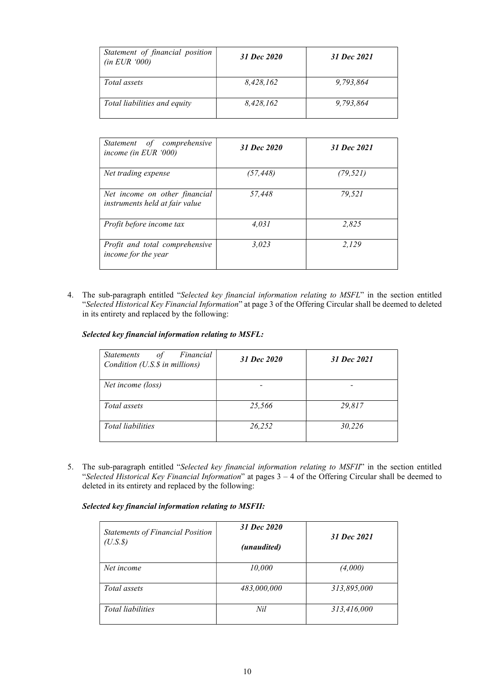| Statement of financial position<br>(in EUR '000) | 31 Dec 2020 | 31 Dec 2021 |
|--------------------------------------------------|-------------|-------------|
| <i>Total assets</i>                              | 8,428,162   | 9,793,864   |
| Total liabilities and equity                     | 8,428,162   | 9,793,864   |

| Statement of comprehensive<br>income (in EUR $000$ )            | 31 Dec 2020 | 31 Dec 2021 |
|-----------------------------------------------------------------|-------------|-------------|
| Net trading expense                                             | (57, 448)   | (79, 521)   |
| Net income on other financial<br>instruments held at fair value | 57.448      | 79.521      |
| Profit before income tax                                        | 4.031       | 2.825       |
| Profit and total comprehensive<br>income for the year           | 3,023       | 2.129       |

4. The sub-paragraph entitled "Selected key financial information relating to MSFL" in the section entitled "Selected Historical Key Financial Information" at page 3 of the Offering Circular shall be deemed to deleted in its entirety and replaced by the following:

Selected key financial information relating to MSFL:

| Financial<br><i>Statements</i><br>of<br>Condition (U.S.\$ in millions) | 31 Dec 2020 | 31 Dec 2021 |
|------------------------------------------------------------------------|-------------|-------------|
| Net income (loss)                                                      |             |             |
| Total assets                                                           | 25,566      | 29.817      |
| Total liabilities                                                      | 26,252      | 30,226      |

5. The sub-paragraph entitled "Selected key financial information relating to MSFII" in the section entitled "Selected Historical Key Financial Information" at pages 3 – 4 of the Offering Circular shall be deemed to deleted in its entirety and replaced by the following:

Selected key financial information relating to MSFII:

| <b>Statements of Financial Position</b><br>$(U.S.\$ | 31 Dec 2020<br>(unaudited) | 31 Dec 2021 |
|-----------------------------------------------------|----------------------------|-------------|
| Net income                                          | 10,000                     | (4,000)     |
| Total assets                                        | 483,000,000                | 313,895,000 |
| <b>Total liabilities</b>                            | Nil                        | 313,416,000 |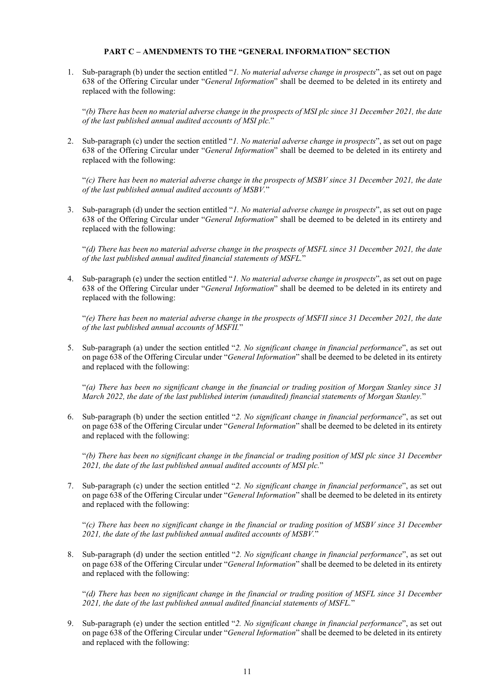#### PART C – AMENDMENTS TO THE "GENERAL INFORMATION" SECTION

1. Sub-paragraph (b) under the section entitled "1. No material adverse change in prospects", as set out on page 638 of the Offering Circular under "General Information" shall be deemed to be deleted in its entirety and replaced with the following:

"(b) There has been no material adverse change in the prospects of MSI plc since 31 December 2021, the date of the last published annual audited accounts of MSI plc."

2. Sub-paragraph (c) under the section entitled "*1. No material adverse change in prospects*", as set out on page 638 of the Offering Circular under "General Information" shall be deemed to be deleted in its entirety and replaced with the following:

"(c) There has been no material adverse change in the prospects of MSBV since 31 December 2021, the date of the last published annual audited accounts of MSBV."

3. Sub-paragraph (d) under the section entitled "1. No material adverse change in prospects", as set out on page 638 of the Offering Circular under "General Information" shall be deemed to be deleted in its entirety and replaced with the following:

"(d) There has been no material adverse change in the prospects of MSFL since 31 December 2021, the date of the last published annual audited financial statements of MSFL."

4. Sub-paragraph (e) under the section entitled "1. No material adverse change in prospects", as set out on page 638 of the Offering Circular under "General Information" shall be deemed to be deleted in its entirety and replaced with the following:

"(e) There has been no material adverse change in the prospects of MSFII since 31 December 2021, the date of the last published annual accounts of MSFII."

5. Sub-paragraph (a) under the section entitled "2. No significant change in financial performance", as set out on page 638 of the Offering Circular under "General Information" shall be deemed to be deleted in its entirety and replaced with the following:

"(a) There has been no significant change in the financial or trading position of Morgan Stanley since 31 March 2022, the date of the last published interim (unaudited) financial statements of Morgan Stanley."

6. Sub-paragraph (b) under the section entitled "2. No significant change in financial performance", as set out on page 638 of the Offering Circular under "General Information" shall be deemed to be deleted in its entirety and replaced with the following:

"(b) There has been no significant change in the financial or trading position of MSI plc since 31 December 2021, the date of the last published annual audited accounts of MSI plc."

7. Sub-paragraph (c) under the section entitled "2. No significant change in financial performance", as set out on page 638 of the Offering Circular under "General Information" shall be deemed to be deleted in its entirety and replaced with the following:

"(c) There has been no significant change in the financial or trading position of MSBV since 31 December 2021, the date of the last published annual audited accounts of MSBV."

8. Sub-paragraph (d) under the section entitled "2. No significant change in financial performance", as set out on page 638 of the Offering Circular under "General Information" shall be deemed to be deleted in its entirety and replaced with the following:

"(d) There has been no significant change in the financial or trading position of MSFL since 31 December 2021, the date of the last published annual audited financial statements of MSFL."

9. Sub-paragraph (e) under the section entitled "2. No significant change in financial performance", as set out on page 638 of the Offering Circular under "General Information" shall be deemed to be deleted in its entirety and replaced with the following: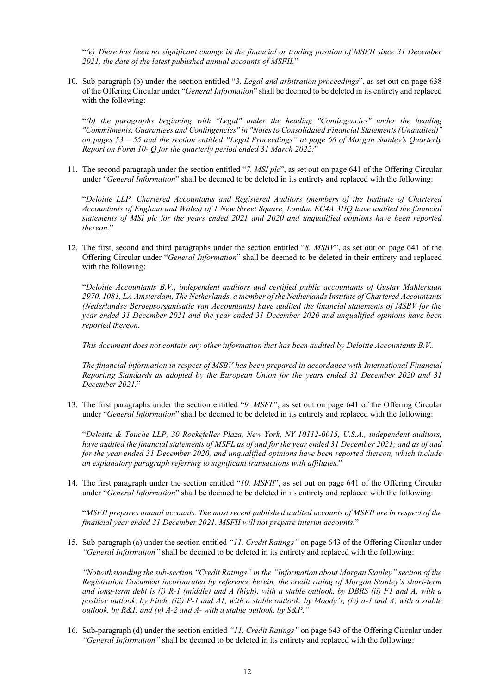"(e) There has been no significant change in the financial or trading position of MSFII since 31 December 2021, the date of the latest published annual accounts of MSFII."

10. Sub-paragraph (b) under the section entitled "3. Legal and arbitration proceedings", as set out on page 638 of the Offering Circular under "General Information" shall be deemed to be deleted in its entirety and replaced with the following:

"(b) the paragraphs beginning with "Legal" under the heading "Contingencies" under the heading "Commitments, Guarantees and Contingencies" in "Notes to Consolidated Financial Statements (Unaudited)" on pages 53 – 55 and the section entitled "Legal Proceedings" at page 66 of Morgan Stanley's Quarterly Report on Form 10- Q for the quarterly period ended 31 March 2022;"

11. The second paragraph under the section entitled "7. MSI plc", as set out on page 641 of the Offering Circular under "General Information" shall be deemed to be deleted in its entirety and replaced with the following:

"Deloitte LLP, Chartered Accountants and Registered Auditors (members of the Institute of Chartered Accountants of England and Wales) of 1 New Street Square, London EC4A 3HQ have audited the financial statements of MSI plc for the years ended 2021 and 2020 and unqualified opinions have been reported thereon."

12. The first, second and third paragraphs under the section entitled "8. MSBV", as set out on page 641 of the Offering Circular under "General Information" shall be deemed to be deleted in their entirety and replaced with the following:

"Deloitte Accountants B.V., independent auditors and certified public accountants of Gustav Mahlerlaan 2970, 1081, LA Amsterdam, The Netherlands, a member of the Netherlands Institute of Chartered Accountants (Nederlandse Beroepsorganisatie van Accountants) have audited the financial statements of MSBV for the year ended 31 December 2021 and the year ended 31 December 2020 and unqualified opinions have been reported thereon.

This document does not contain any other information that has been audited by Deloitte Accountants B.V..

The financial information in respect of MSBV has been prepared in accordance with International Financial Reporting Standards as adopted by the European Union for the years ended 31 December 2020 and 31 December 2021."

13. The first paragraphs under the section entitled "9. MSFL", as set out on page 641 of the Offering Circular under "General Information" shall be deemed to be deleted in its entirety and replaced with the following:

"Deloitte & Touche LLP, 30 Rockefeller Plaza, New York, NY 10112-0015, U.S.A., independent auditors, have audited the financial statements of MSFL as of and for the year ended 31 December 2021; and as of and for the year ended 31 December 2020, and unqualified opinions have been reported thereon, which include an explanatory paragraph referring to significant transactions with affiliates."

14. The first paragraph under the section entitled "10. MSFII", as set out on page 641 of the Offering Circular under "General Information" shall be deemed to be deleted in its entirety and replaced with the following:

"MSFII prepares annual accounts. The most recent published audited accounts of MSFII are in respect of the financial year ended 31 December 2021. MSFII will not prepare interim accounts."

15. Sub-paragraph (a) under the section entitled "11. Credit Ratings" on page 643 of the Offering Circular under "General Information" shall be deemed to be deleted in its entirety and replaced with the following:

"Notwithstanding the sub-section "Credit Ratings" in the "Information about Morgan Stanley" section of the Registration Document incorporated by reference herein, the credit rating of Morgan Stanley's short-term and long-term debt is (i) R-1 (middle) and A (high), with a stable outlook, by DBRS (ii) F1 and A, with a positive outlook, by Fitch, (iii) P-1 and A1, with a stable outlook, by Moody's, (iv) a-1 and A, with a stable outlook, by  $R&I$ ; and (v)  $A-2$  and  $A-$  with a stable outlook, by  $S&P$ ."

16. Sub-paragraph (d) under the section entitled "11. Credit Ratings" on page 643 of the Offering Circular under "General Information" shall be deemed to be deleted in its entirety and replaced with the following: